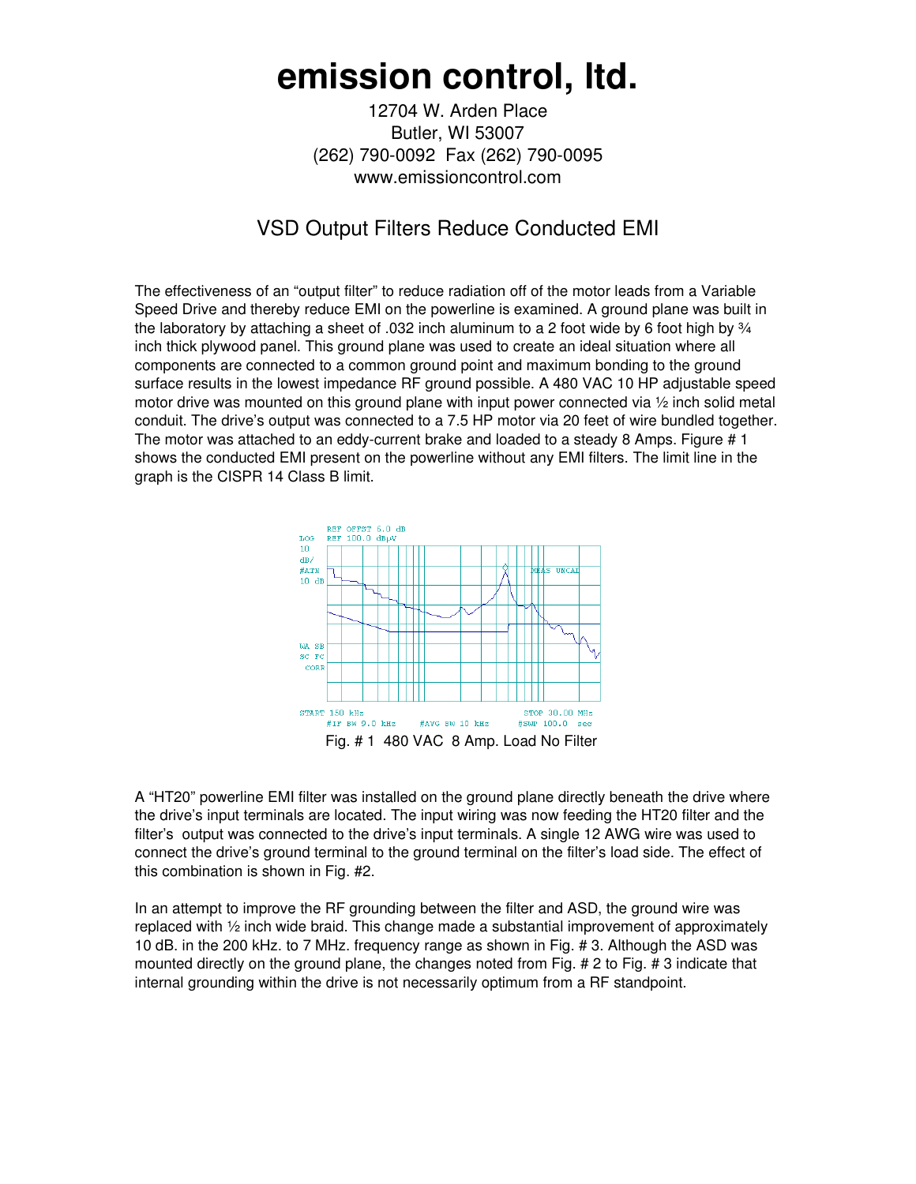## **emission control, ltd.**

12704 W. Arden Place Butler, WI 53007 (262) 790-0092 Fax (262) 790-0095 www.emissioncontrol.com

## VSD Output Filters Reduce Conducted EMI

The effectiveness of an "output filter" to reduce radiation off of the motor leads from a Variable Speed Drive and thereby reduce EMI on the powerline is examined. A ground plane was built in the laboratory by attaching a sheet of .032 inch aluminum to a 2 foot wide by 6 foot high by  $\frac{3}{4}$ inch thick plywood panel. This ground plane was used to create an ideal situation where all components are connected to a common ground point and maximum bonding to the ground surface results in the lowest impedance RF ground possible. A 480 VAC 10 HP adjustable speed motor drive was mounted on this ground plane with input power connected via  $\frac{1}{2}$  inch solid metal conduit. The drive's output was connected to a 7.5 HP motor via 20 feet of wire bundled together. The motor was attached to an eddy-current brake and loaded to a steady 8 Amps. Figure # 1 shows the conducted EMI present on the powerline without any EMI filters. The limit line in the graph is the CISPR 14 Class B limit.



A "HT20" powerline EMI filter was installed on the ground plane directly beneath the drive where the drive's input terminals are located. The input wiring was now feeding the HT20 filter and the filter's output was connected to the drive's input terminals. A single 12 AWG wire was used to connect the drive's ground terminal to the ground terminal on the filter's load side. The effect of this combination is shown in Fig. #2.

In an attempt to improve the RF grounding between the filter and ASD, the ground wire was replaced with ½ inch wide braid. This change made a substantial improvement of approximately 10 dB. in the 200 kHz. to 7 MHz. frequency range as shown in Fig. # 3. Although the ASD was mounted directly on the ground plane, the changes noted from Fig. # 2 to Fig. # 3 indicate that internal grounding within the drive is not necessarily optimum from a RF standpoint.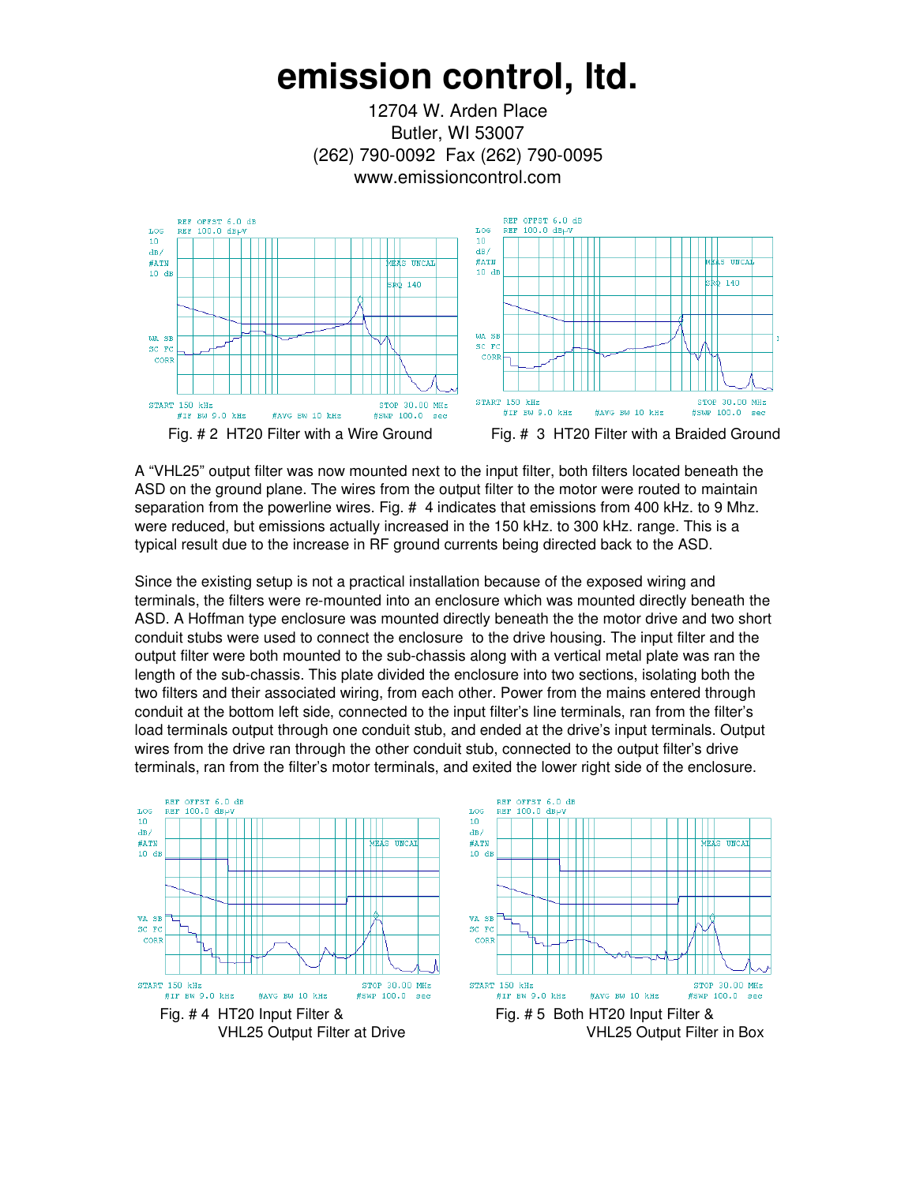## **emission control, ltd.**

12704 W. Arden Place Butler, WI 53007 (262) 790-0092 Fax (262) 790-0095 www.emissioncontrol.com



A "VHL25" output filter was now mounted next to the input filter, both filters located beneath the ASD on the ground plane. The wires from the output filter to the motor were routed to maintain separation from the powerline wires. Fig. # 4 indicates that emissions from 400 kHz. to 9 Mhz. were reduced, but emissions actually increased in the 150 kHz. to 300 kHz. range. This is a typical result due to the increase in RF ground currents being directed back to the ASD.

Since the existing setup is not a practical installation because of the exposed wiring and terminals, the filters were re-mounted into an enclosure which was mounted directly beneath the ASD. A Hoffman type enclosure was mounted directly beneath the the motor drive and two short conduit stubs were used to connect the enclosure to the drive housing. The input filter and the output filter were both mounted to the sub-chassis along with a vertical metal plate was ran the length of the sub-chassis. This plate divided the enclosure into two sections, isolating both the two filters and their associated wiring, from each other. Power from the mains entered through conduit at the bottom left side, connected to the input filter's line terminals, ran from the filter's load terminals output through one conduit stub, and ended at the drive's input terminals. Output wires from the drive ran through the other conduit stub, connected to the output filter's drive terminals, ran from the filter's motor terminals, and exited the lower right side of the enclosure.